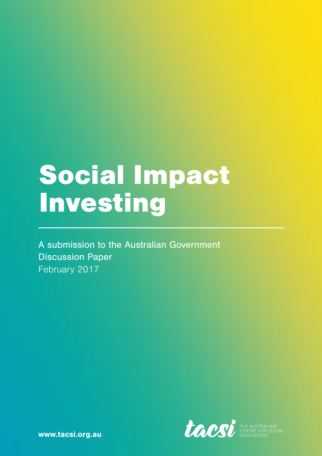# Social Impact Investing

A submission to the Australian Government Discussion Paper February 2017



[www.tacsi.org.au](http://www.tacsi.org.au)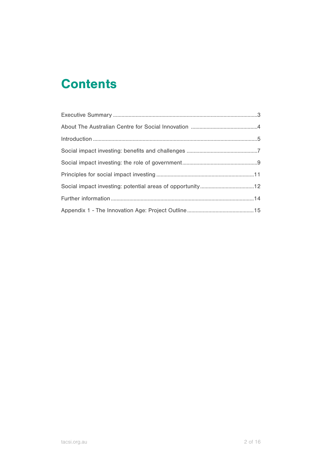### **Contents**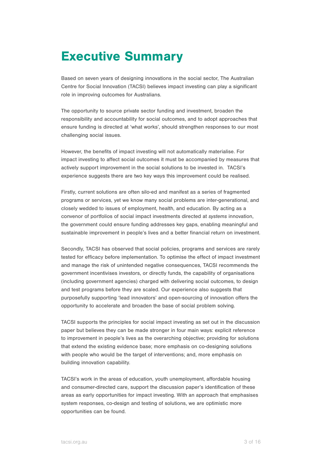### Executive Summary

Based on seven years of designing innovations in the social sector, The Australian Centre for Social Innovation (TACSI) believes impact investing can play a significant role in improving outcomes for Australians.

The opportunity to source private sector funding and investment, broaden the responsibility and accountability for social outcomes, and to adopt approaches that ensure funding is directed at 'what works', should strengthen responses to our most challenging social issues.

However, the benefits of impact investing will not automatically materialise. For impact investing to affect social outcomes it must be accompanied by measures that actively support improvement in the social solutions to be invested in. TACSI's experience suggests there are two key ways this improvement could be realised.

Firstly, current solutions are often silo-ed and manifest as a series of fragmented programs or services, yet we know many social problems are inter-generational, and closely wedded to issues of employment, health, and education. By acting as a convenor of portfolios of social impact investments directed at *systems* innovation, the government could ensure funding addresses key gaps, enabling meaningful and sustainable improvement in people's lives and a better financial return on investment.

Secondly, TACSI has observed that social policies, programs and services are rarely tested for efficacy before implementation. To optimise the effect of impact investment and manage the risk of unintended negative consequences, TACSI recommends the government incentivises investors, or directly funds, the capability of organisations (including government agencies) charged with delivering social outcomes, to design and test programs before they are scaled. Our experience also suggests that purposefully supporting 'lead innovators' and open-sourcing of innovation offers the opportunity to accelerate and broaden the base of social problem solving.

TACSI supports the principles for social impact investing as set out in the discussion paper but believes they can be made stronger in four main ways: explicit reference to improvement in people's lives as the overarching objective; providing for solutions that extend the existing evidence base; more emphasis on co-designing solutions with people who would be the target of interventions; and, more emphasis on building innovation capability.

TACSI's work in the areas of education, youth unemployment, affordable housing and consumer-directed care, support the discussion paper's identification of these areas as early opportunities for impact investing. With an approach that emphasises system responses, co-design and testing of solutions, we are optimistic more opportunities can be found.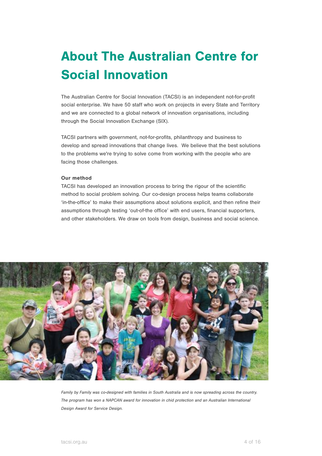# About The Australian Centre for Social Innovation

The Australian Centre for Social Innovation (TACSI) is an independent not-for-profit social enterprise. We have 50 staff who work on projects in every State and Territory and we are connected to a global network of innovation organisations, including through the Social Innovation Exchange (SIX).

TACSI partners with government, not-for-profits, philanthropy and business to develop and spread innovations that change lives. We believe that the best solutions to the problems we're trying to solve come from working with the people who are facing those challenges.

#### Our method

TACSI has developed an innovation process to bring the rigour of the scientific method to social problem solving. Our co-design process helps teams collaborate 'in-the-office' to make their assumptions about solutions explicit, and then refine their assumptions through testing 'out-of-the office' with end users, financial supporters, and other stakeholders. We draw on tools from design, business and social science.



*Family by Family was co-designed with families in South Australia and is now spreading across the country. The program has won a NAPCAN award for innovation in chid protection and an Australian International Design Award for Service Design.*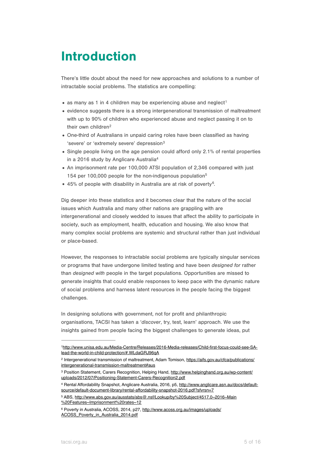### Introduction

There's little doubt about the need for new approaches and solutions to a number of intractable social problems. The statistics are compelling:

- <span id="page-4-6"></span> $\bullet$  as many as [1](#page-4-0) in 4 children may be experiencing abuse and neglect<sup>1</sup>
- evidence suggests there is a strong intergenerational transmission of maltreatment with up to 90% of children who experienced abuse and neglect passing it on to their own children<sup>[2](#page-4-1)</sup>
- <span id="page-4-7"></span>• One-third of Australians in unpaid caring roles have been classified as having 'severe' or 'extremely severe' depression<sup>[3](#page-4-2)</sup>
- <span id="page-4-8"></span>• Single people living on the age pension could afford only 2.1% of rental properties in a 2016 study by Anglicare Australi[a4](#page-4-3)
- <span id="page-4-9"></span>• An imprisonment rate per 100,000 ATSI population of 2,346 compared with just 154 per 100,000 people for the non-indigenous populatio[n5](#page-4-4)
- <span id="page-4-11"></span><span id="page-4-10"></span>• 45% of people with disability in Australia are at risk of poverty<sup>[6](#page-4-5)</sup>.

Dig deeper into these statistics and it becomes clear that the nature of the social issues which Australia and many other nations are grappling with are intergenerational and closely wedded to issues that affect the ability to participate in society, such as employment, health, education and housing. We also know that many complex social problems are systemic and structural rather than just individual or place-based.

However, the responses to intractable social problems are typically singular services or programs that have undergone limited testing and have been *designed for* rather than *designed with* people in the target populations. Opportunities are missed to generate insights that could enable responses to keep pace with the dynamic nature of social problems and harness latent resources in the people facing the biggest challenges.

In designing solutions with government, not for profit and philanthropic organisations, TACSI has taken a '*discover*, try, test, learn' approach. We use the insights gained from people facing the biggest challenges to generate ideas, put

<span id="page-4-0"></span>[http://www.unisa.edu.au/Media-Centre/Releases/2016-Media-releases/Child-first-focus-could-see-SA-](http://www.unisa.edu.au/Media-Centre/Releases/2016-Media-releases/Child-first-focus-could-see-SA-lead-the-world-in-child-protection/#.WLdaGRJ96qA) [1](#page-4-6) lead-the-world-in-child-protection/#.WLdaGRJ96qA

<span id="page-4-1"></span><sup>&</sup>lt;sup>2</sup> [Intergenerational transmission of maltreatment, Adam Tomison, https://aifs.gov.au/cfca/publications/](https://aifs.gov.au/cfca/publications/intergenerational-transmission-maltreatment#aus) intergenerational-transmission-maltreatment#aus

<span id="page-4-2"></span><sup>&</sup>lt;sup>3</sup> [Position Statement, Carers Recognition, Helping Hand, http://www.helpinghand.org.au/wp-content/](http://www.helpinghand.org.au/wp-content/uploads/2012/07/Positioning-Statement-Carers-Recognition2.pdf) uploads/2012/07/Positioning-Statement-Carers-Recognition2.pdf

<span id="page-4-3"></span>[Rental Affordability Snapshot, Anglicare Australia, 2016, p5, http://www.anglicare.asn.au/docs/default-](http://www.anglicare.asn.au/docs/default-source/default-document-library/rental-affordability-snapshot-2016.pdf?sfvrsn=7) [4](#page-4-9) source/default-document-library/rental-affordability-snapshot-2016.pdf?sfvrsn=7

<span id="page-4-4"></span>[<sup>5</sup>](#page-4-10) [ABS, http://www.abs.gov.au/ausstats/abs@.nsf/Lookup/by%20Subject/4517.0~2016~Main](http://www.abs.gov.au/ausstats/abs@.nsf/Lookup/by%20Subject/4517.0~2016~Main%20Features~Imprisonment%20rates~12) %20Features~Imprisonment%20rates~12

<span id="page-4-5"></span><sup>&</sup>lt;sup>6</sup> [Poverty in Australia, ACOSS, 2014, p27, http://www.acoss.org.au/images/uploads/](http://www.acoss.org.au/images/uploads/ACOSS_Poverty_in_Australia_2014.pdf) ACOSS\_Poverty\_in\_Australia\_2014.pdf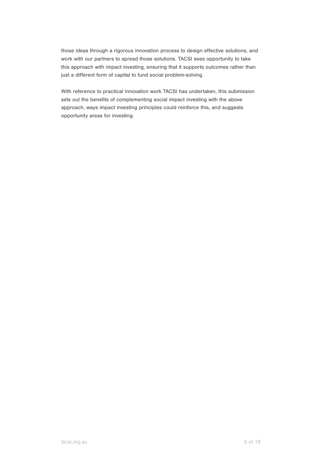those ideas through a rigorous innovation process to design effective solutions, and work with our partners to spread those solutions. TACSI sees opportunity to take this approach with impact investing, ensuring that it supports outcomes rather than just a different form of capital to fund social problem-solving.

With reference to practical innovation work TACSI has undertaken, this submission sets out the benefits of complementing social impact investing with the above approach, ways impact investing principles could reinforce this, and suggests opportunity areas for investing.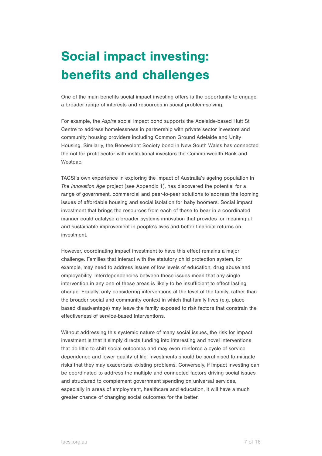# Social impact investing: benefits and challenges

One of the main benefits social impact investing offers is the opportunity to engage a broader range of interests and resources in social problem-solving.

For example, the *Aspire* social impact bond supports the Adelaide-based Hutt St Centre to address homelessness in partnership with private sector investors and community housing providers including Common Ground Adelaide and Unity Housing. Similarly, the Benevolent Society bond in New South Wales has connected the not for profit sector with institutional investors the Commonwealth Bank and Westpac.

TACSI's own experience in exploring the impact of Australia's ageing population in *The Innovation Age* project (see Appendix 1), has discovered the potential for a range of government, commercial and peer-to-peer solutions to address the looming issues of affordable housing and social isolation for baby boomers. Social impact investment that brings the resources from each of these to bear in a coordinated manner could catalyse a broader systems innovation that provides for meaningful and sustainable improvement in people's lives and better financial returns on investment.

However, coordinating impact investment to have this effect remains a major challenge. Families that interact with the statutory child protection system, for example, may need to address issues of low levels of education, drug abuse and employability. Interdependencies between these issues mean that any single intervention in any one of these areas is likely to be insufficient to effect lasting change. Equally, only considering interventions at the level of the family, rather than the broader social and community context in which that family lives (e.g. placebased disadvantage) may leave the family exposed to risk factors that constrain the effectiveness of service-based interventions.

Without addressing this systemic nature of many social issues, the risk for impact investment is that it simply directs funding into interesting and novel interventions that do little to shift social outcomes and may even reinforce a cycle of service dependence and lower quality of life. Investments should be scrutinised to mitigate risks that they may exacerbate existing problems. Conversely, if impact investing can be coordinated to address the multiple and connected factors driving social issues and structured to complement government spending on universal services, especially in areas of employment, healthcare and education, it will have a much greater chance of changing social outcomes for the better.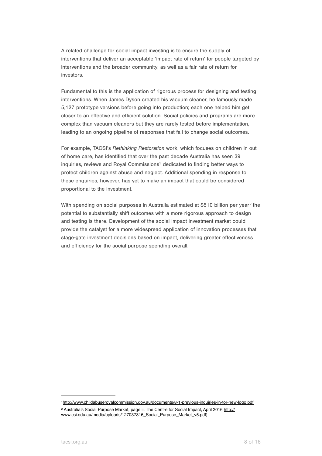A related challenge for social impact investing is to ensure the supply of interventions that deliver an acceptable 'impact rate of return' for people targeted by interventions and the broader community, as well as a fair rate of return for investors.

Fundamental to this is the application of rigorous process for designing and testing interventions. When James Dyson created his vacuum cleaner, he famously made 5,127 prototype versions before going into production; each one helped him get closer to an effective and efficient solution. Social policies and programs are more complex than vacuum cleaners but they are rarely tested before implementation, leading to an ongoing pipeline of responses that fail to change social outcomes.

<span id="page-7-2"></span>For example, TACSI's *Rethinking Restoration* work, which focuses on children in out of home care, has identified that over the past decade Australia has seen 39 inquiries,reviews and Royal Commissions<sup>[1](#page-7-0)</sup> dedicated to finding better ways to protect children against abuse and neglect. Additional spending in response to these enquiries, however, has yet to make an impact that could be considered proportional to the investment.

<span id="page-7-3"></span>With spending on social purposes in Australia estimated at \$510 billion per year<sup>[2](#page-7-1)</sup> the potential to substantially shift outcomes with a more rigorous approach to design and testing is there. Development of the social impact investment market could provide the catalyst for a more widespread application of innovation processes that stage-gate investment decisions based on impact, delivering greater effectiveness and efficiency for the social purpose spending overall.

<span id="page-7-1"></span><span id="page-7-0"></span><http://www.childabuseroyalcommission.gov.au/documents/8-1-previous-inquiries-in-tor-new-logo.pdf> [1](#page-7-2) <sup>2</sup> [Australia's Social Purpose Market, page ii, The Centre for Social Impact, April 2016 http://](http://www.csi.edu.au/media/uploads/127037316_Social_Purpose_Market_v5.pdf) www.csi.edu.au/media/uploads/127037316\_Social\_Purpose\_Market\_v5.pdf)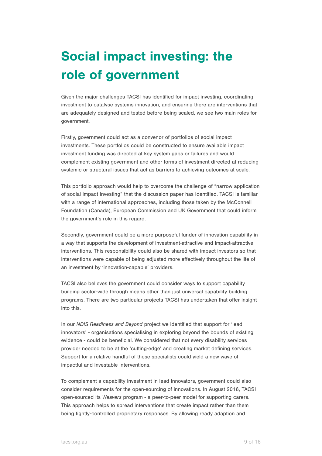# Social impact investing: the role of government

Given the major challenges TACSI has identified for impact investing, coordinating investment to catalyse systems innovation, and ensuring there are interventions that are adequately designed and tested before being scaled, we see two main roles for government.

Firstly, government could act as a convenor of portfolios of social impact investments. These portfolios could be constructed to ensure available impact investment funding was directed at key system gaps or failures and would complement existing government and other forms of investment directed at reducing systemic or structural issues that act as barriers to achieving outcomes at scale.

This portfolio approach would help to overcome the challenge of "narrow application of social impact investing" that the discussion paper has identified. TACSI is familiar with a range of international approaches, including those taken by the McConnell Foundation (Canada), European Commission and UK Government that could inform the government's role in this regard.

Secondly, government could be a more purposeful funder of innovation capability in a way that supports the development of investment-attractive and impact-attractive interventions. This responsibility could also be shared with impact investors so that interventions were capable of being adjusted more effectively throughout the life of an investment by 'innovation-capable' providers.

TACSI also believes the government could consider ways to support capability building sector-wide through means other than just universal capability building programs. There are two particular projects TACSI has undertaken that offer insight into this.

In our *NDIS Readiness and Beyond* project we identified that support for 'lead innovators' - organisations specialising in exploring beyond the bounds of existing evidence - could be beneficial. We considered that not every disability services provider needed to be at the 'cutting-edge' and creating market defining services. Support for a relative handful of these specialists could yield a new wave of impactful and investable interventions.

To complement a capability investment in lead innovators, government could also consider requirements for the open-sourcing of innovations. In August 2016, TACSI open-sourced its *Weavers* program - a peer-to-peer model for supporting carers. This approach helps to spread interventions that create impact rather than them being tightly-controlled proprietary responses. By allowing ready adaption and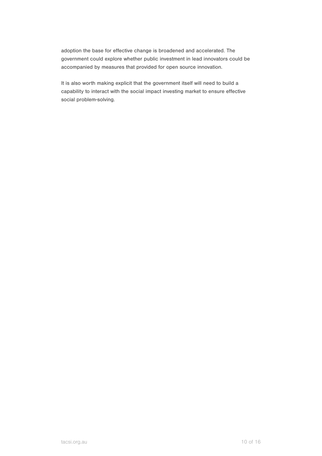adoption the base for effective change is broadened and accelerated. The government could explore whether public investment in lead innovators could be accompanied by measures that provided for open source innovation.

It is also worth making explicit that the government itself will need to build a capability to interact with the social impact investing market to ensure effective social problem-solving.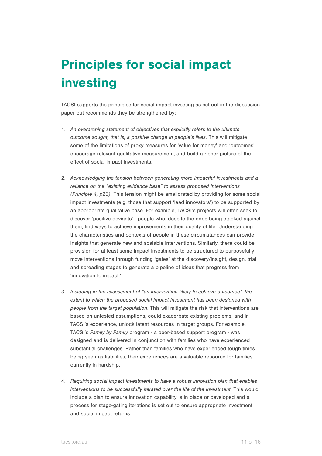### Principles for social impact investing

TACSI supports the principles for social impact investing as set out in the discussion paper but recommends they be strengthened by:

- 1. *An overarching statement of objectives that explicitly refers to the ultimate outcome sought, that is, a positive change in people's lives.* This will mitigate some of the limitations of proxy measures for 'value for money' and 'outcomes', encourage relevant qualitative measurement, and build a richer picture of the effect of social impact investments.
- 2. *Acknowledging the tension between generating more impactful investments and a reliance on the "existing evidence base" to assess proposed interventions (Principle 4, p23).* This tension might be ameliorated by providing for some social impact investments (e.g. those that support 'lead innovators') to be supported by an appropriate qualitative base. For example, TACSI's projects will often seek to discover 'positive deviants' - people who, despite the odds being stacked against them, find ways to achieve improvements in their quality of life. Understanding the characteristics and contexts of people in these circumstances can provide insights that generate new and scalable interventions. Similarly, there could be provision for at least some impact investments to be structured to purposefully move interventions through funding 'gates' at the discovery/insight, design, trial and spreading stages to generate a pipeline of ideas that progress from 'innovation to impact.'
- 3. *Including in the assessment of "an intervention likely to achieve outcomes", the extent to which the proposed social impact investment has been designed with people from the target population*. This will mitigate the risk that interventions are based on untested assumptions, could exacerbate existing problems, and in TACSI's experience, unlock latent resources in target groups. For example, TACSI's *Family by Family* program - a peer-based support program - was designed and is delivered in conjunction with families who have experienced substantial challenges. Rather than families who have experienced tough times being seen as liabilities, their experiences are a valuable resource for families currently in hardship.
- 4. *Requiring social impact investments to have a robust innovation plan that enables*  interventions to be successfully iterated over the life of the investment. This would include a plan to ensure innovation capability is in place or developed and a process for stage-gating iterations is set out to ensure appropriate investment and social impact returns.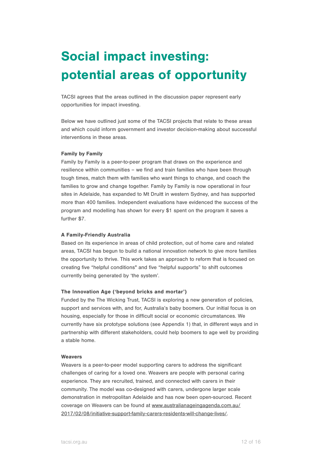# Social impact investing: potential areas of opportunity

TACSI agrees that the areas outlined in the discussion paper represent early opportunities for impact investing.

Below we have outlined just some of the TACSI projects that relate to these areas and which could inform government and investor decision-making about successful interventions in these areas.

#### Family by Family

Family by Family is a peer-to-peer program that draws on the experience and resilience within communities – we find and train families who have been through tough times, match them with families who want things to change, and coach the families to grow and change together. Family by Family is now operational in four sites in Adelaide, has expanded to Mt Druitt in western Sydney, and has supported more than 400 families. Independent evaluations have evidenced the success of the program and modelling has shown for every \$1 spent on the program it saves a further \$7.

#### A Family-Friendly Australia

Based on its experience in areas of child protection, out of home care and related areas, TACSI has begun to build a national innovation network to give more families the opportunity to thrive. This work takes an approach to reform that is focused on creating five "helpful conditions" and five "helpful supports" to shift outcomes currently being generated by 'the system'.

#### The Innovation Age ('beyond bricks and mortar')

Funded by the The Wicking Trust, TACSI is exploring a new generation of policies, support and services with, and for, Australia's baby boomers. Our initial focus is on housing, especially for those in difficult social or economic circumstances. We currently have six prototype solutions (see Appendix 1) that, in different ways and in partnership with different stakeholders, could help boomers to age well by providing a stable home.

#### **Weavers**

Weavers is a peer-to-peer model supporting carers to address the significant challenges of caring for a loved one. Weavers are people with personal caring experience. They are recruited, trained, and connected with carers in their community. The model was co-designed with carers, undergone larger scale demonstration in metropolitan Adelaide and has now been open-sourced. Recent [coverage on Weavers can be found at www.australianageingagenda.com.au/](http://www.australianageingagenda.com.au/2017/02/08/initiative-support-family-carers-residents-will-change-lives/) 2017/02/08/initiative-support-family-carers-residents-will-change-lives/.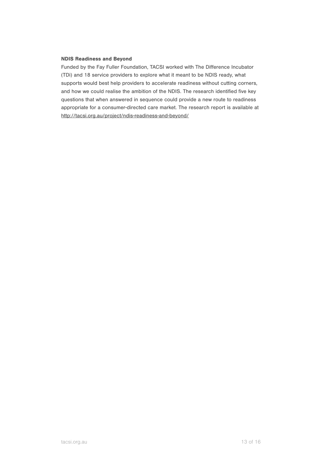#### NDIS Readiness and Beyond

Funded by the Fay Fuller Foundation, TACSI worked with The Difference Incubator (TDi) and 18 service providers to explore what it meant to be NDIS ready, what supports would best help providers to accelerate readiness without cutting corners, and how we could realise the ambition of the NDIS. The research identified five key questions that when answered in sequence could provide a new route to readiness appropriate for a consumer-directed care market. The research report is available at <http://tacsi.org.au/project/ndis-readiness-and-beyond/>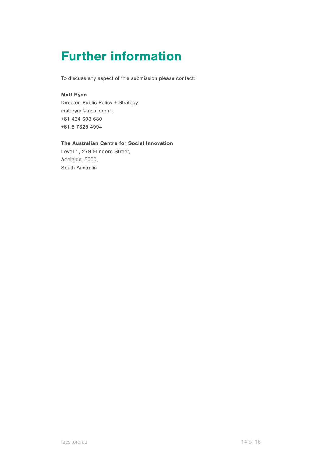### Further information

To discuss any aspect of this submission please contact:

#### Matt Ryan

Director, Public Policy + Strategy [matt.ryan@tacsi.org.au](mailto:matt.ryan@tacsi.org.au) +61 434 603 680 +61 8 7325 4994

#### The Australian Centre for Social Innovation

Level 1, 279 Flinders Street, Adelaide, 5000, South Australia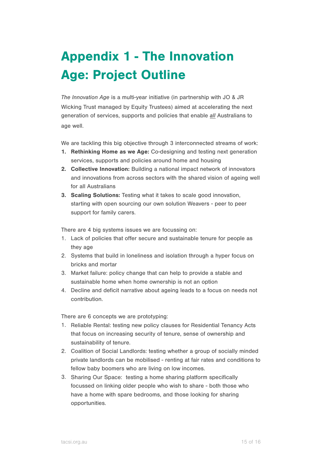# Appendix 1 - The Innovation Age: Project Outline

*The Innovation Age* is a multi-year initiative (in partnership with JO & JR Wicking Trust managed by Equity Trustees) aimed at accelerating the next generation of services, supports and policies that enable *all* Australians to age well.

We are tackling this big objective through 3 interconnected streams of work:

- 1. Rethinking Home as we Age: Co-designing and testing next generation services, supports and policies around home and housing
- 2. Collective Innovation: Building a national impact network of innovators and innovations from across sectors with the shared vision of ageing well for all Australians
- 3. Scaling Solutions: Testing what it takes to scale good innovation, starting with open sourcing our own solution Weavers - peer to peer support for family carers.

There are 4 big systems issues we are focussing on:

- 1. Lack of policies that offer secure and sustainable tenure for people as they age
- 2. Systems that build in loneliness and isolation through a hyper focus on bricks and mortar
- 3. Market failure: policy change that can help to provide a stable and sustainable home when home ownership is not an option
- 4. Decline and deficit narrative about ageing leads to a focus on needs not contribution.

There are 6 concepts we are prototyping:

- 1. Reliable Rental: testing new policy clauses for Residential Tenancy Acts that focus on increasing security of tenure, sense of ownership and sustainability of tenure.
- 2. Coalition of Social Landlords: testing whether a group of socially minded private landlords can be mobilised - renting at fair rates and conditions to fellow baby boomers who are living on low incomes.
- 3. Sharing Our Space: testing a home sharing platform specifically focussed on linking older people who wish to share - both those who have a home with spare bedrooms, and those looking for sharing opportunities.